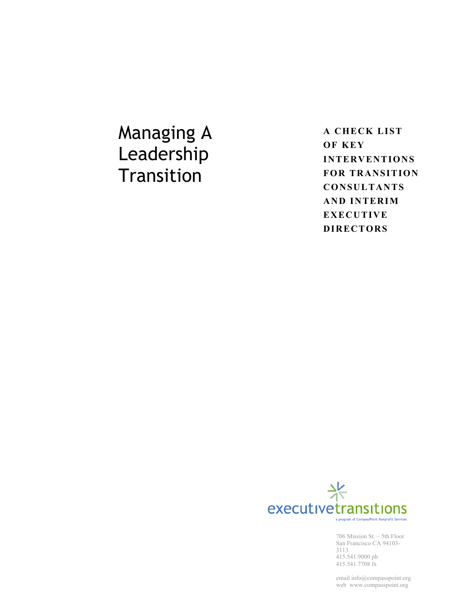Managing A Leadership **Transition** 

**A CHECK LIST OF KEY INTERVENTIONS FOR TRANSITION CONSULTANTS AND INTERIM EXECUTIVE DIRECTORS**



415.541.9000 ph 415.541.7708 fx 706 Mission St. – 5th Floor San Francisco CA 94103- 3113

email info@compasspoint.org web www.compasspoint.org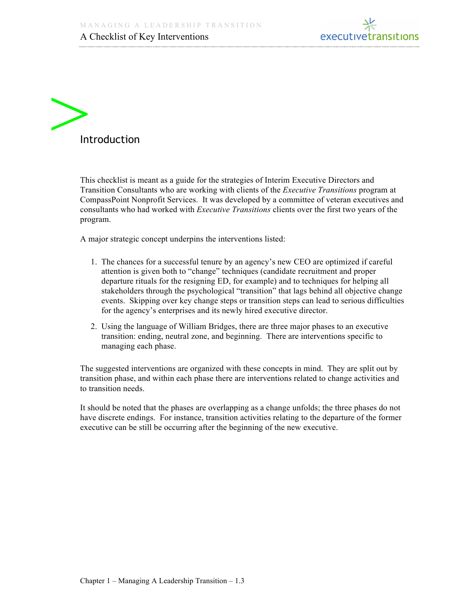



This checklist is meant as a guide for the strategies of Interim Executive Directors and Transition Consultants who are working with clients of the *Executive Transitions* program at CompassPoint Nonprofit Services. It was developed by a committee of veteran executives and consultants who had worked with *Executive Transitions* clients over the first two years of the program.

A major strategic concept underpins the interventions listed:

- 1. The chances for a successful tenure by an agency's new CEO are optimized if careful attention is given both to "change" techniques (candidate recruitment and proper departure rituals for the resigning ED, for example) and to techniques for helping all stakeholders through the psychological "transition" that lags behind all objective change events. Skipping over key change steps or transition steps can lead to serious difficulties for the agency's enterprises and its newly hired executive director.
- 2. Using the language of William Bridges, there are three major phases to an executive transition: ending, neutral zone, and beginning. There are interventions specific to managing each phase.

The suggested interventions are organized with these concepts in mind. They are split out by transition phase, and within each phase there are interventions related to change activities and to transition needs.

It should be noted that the phases are overlapping as a change unfolds; the three phases do not have discrete endings. For instance, transition activities relating to the departure of the former executive can be still be occurring after the beginning of the new executive.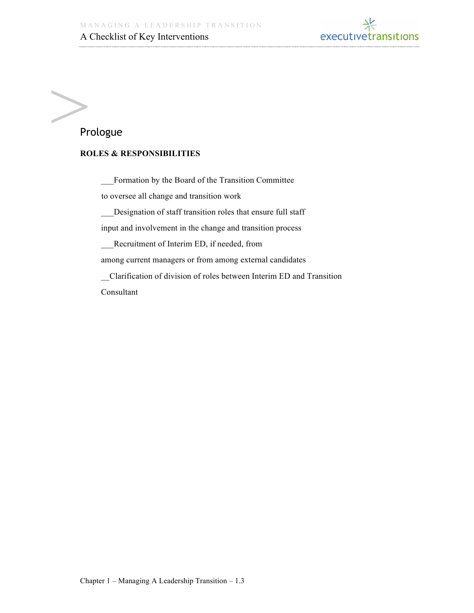

# $\sum_{\text{Pr}}$ Prologue

#### **ROLES & RESPONSIBILITIES**

\_\_\_Formation by the Board of the Transition Committee to oversee all change and transition work

\_\_\_Designation of staff transition roles that ensure full staff

input and involvement in the change and transition process

Recruitment of Interim ED, if needed, from

among current managers or from among external candidates

\_\_Clarification of division of roles between Interim ED and Transition

Consultant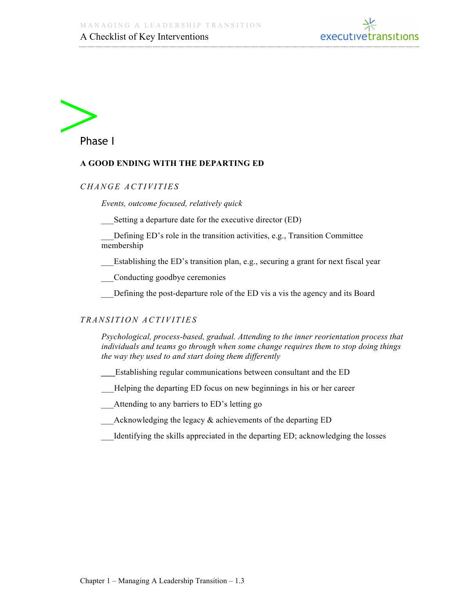



#### **A GOOD ENDING WITH THE DEPARTING ED**

*C H A N G E A C T I V I T I E S* 

*Events, outcome focused, relatively quick* 

Setting a departure date for the executive director (ED)

Defining ED's role in the transition activities, e.g., Transition Committee membership

Establishing the ED's transition plan, e.g., securing a grant for next fiscal year

\_\_\_Conducting goodbye ceremonies

Defining the post-departure role of the ED vis a vis the agency and its Board

#### *T R A N S I T I O N A C T I V I T I ES*

 *Psychological, process-based, gradual. Attending to the inner reorientation process that individuals and teams go through when some change requires them to stop doing things the way they used to and start doing them differently*

- \_\_\_Establishing regular communications between consultant and the ED
- Helping the departing ED focus on new beginnings in his or her career
- \_\_\_Attending to any barriers to ED's letting go
- \_\_\_Acknowledging the legacy & achievements of the departing ED
- Identifying the skills appreciated in the departing ED; acknowledging the losses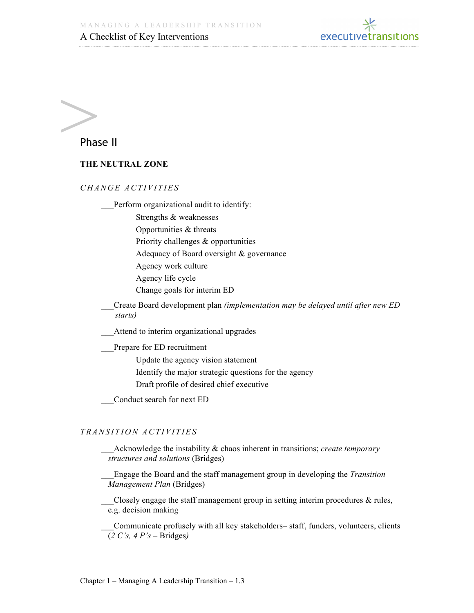

# Pha Phase II

#### **THE NEUTRAL ZONE**

#### *C H A N G E A C T I V I T I E S*

Perform organizational audit to identify:

Strengths & weaknesses

Opportunities & threats

Priority challenges & opportunities

Adequacy of Board oversight & governance

Agency work culture

Agency life cycle

Change goals for interim ED

\_\_\_Create Board development plan *(implementation may be delayed until after new ED starts)*

Attend to interim organizational upgrades

Prepare for ED recruitment

Update the agency vision statement

Identify the major strategic questions for the agency

Draft profile of desired chief executive

\_\_\_Conduct search for next ED

#### *T R A N S I T I O N A C T I V I T I ES*

\_\_\_Acknowledge the instability & chaos inherent in transitions; *create temporary structures and solutions* (Bridges)

\_\_\_Engage the Board and the staff management group in developing the *Transition Management Plan* (Bridges)

Closely engage the staff management group in setting interim procedures  $\&$  rules, e.g. decision making

\_\_\_Communicate profusely with all key stakeholders– staff, funders, volunteers, clients (*2 C's, 4 P's* – Bridges*)*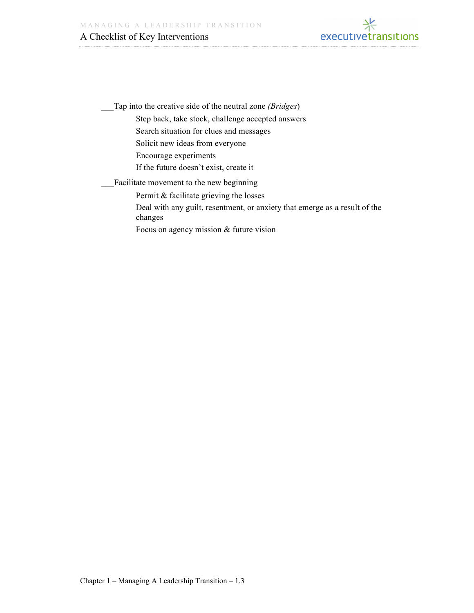

\_\_\_Tap into the creative side of the neutral zone *(Bridges*) Step back, take stock, challenge accepted answers Search situation for clues and messages Solicit new ideas from everyone Encourage experiments If the future doesn't exist, create it Facilitate movement to the new beginning Permit & facilitate grieving the losses Deal with any guilt, resentment, or anxiety that emerge as a result of the

changes

Focus on agency mission & future vision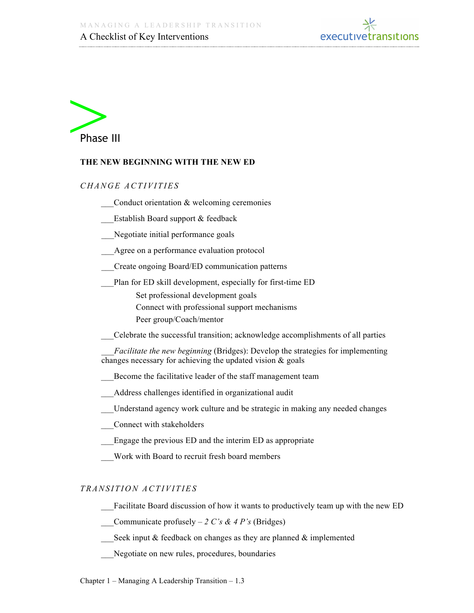



#### **THE NEW BEGINNING WITH THE NEW ED**

#### *C H A N G E A C T I V I T I E S*

- Conduct orientation  $&$  welcoming ceremonies
- Establish Board support & feedback
- Negotiate initial performance goals
- Agree on a performance evaluation protocol
- \_\_\_Create ongoing Board/ED communication patterns
- Plan for ED skill development, especially for first-time ED
	- Set professional development goals
	- Connect with professional support mechanisms
	- Peer group/Coach/mentor
- \_\_\_Celebrate the successful transition; acknowledge accomplishments of all parties
- *Facilitate the new beginning* (Bridges): Develop the strategies for implementing changes necessary for achieving the updated vision & goals
- Become the facilitative leader of the staff management team
- \_\_\_Address challenges identified in organizational audit
- \_\_\_Understand agency work culture and be strategic in making any needed changes
- \_\_\_Connect with stakeholders
- Engage the previous ED and the interim ED as appropriate
- Work with Board to recruit fresh board members

#### *T R A N S I T I O N A C T I V I T I ES*

- Facilitate Board discussion of how it wants to productively team up with the new ED
- Communicate profusely  $-2 C's \& 4 P's$  (Bridges)
- Seek input  $&$  feedback on changes as they are planned  $&$  implemented
- Negotiate on new rules, procedures, boundaries